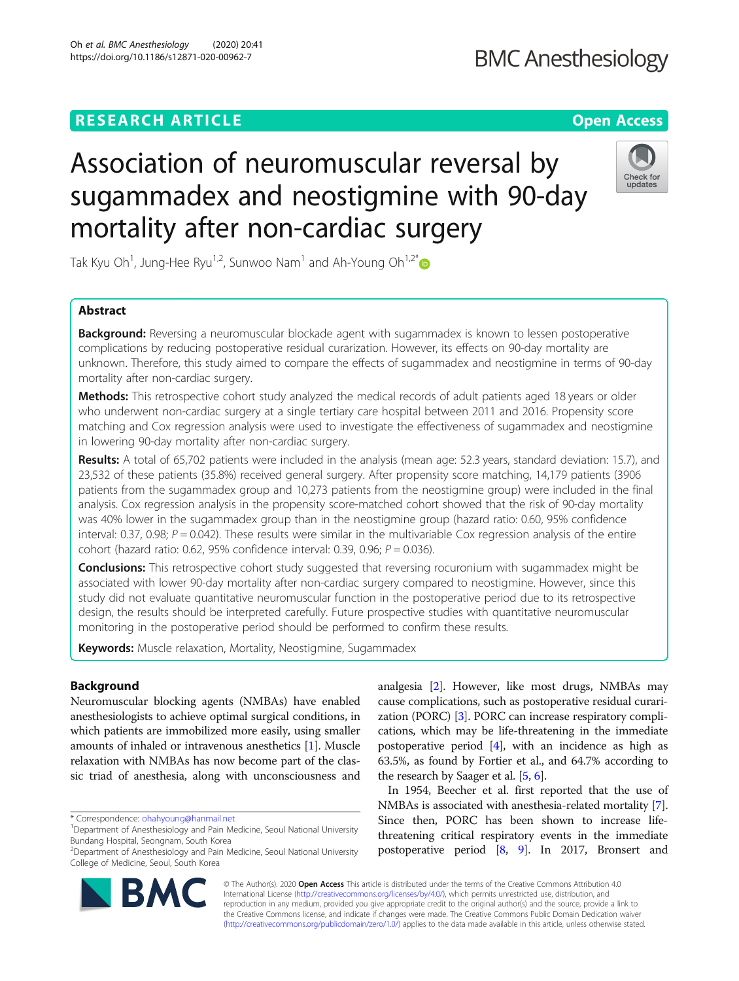## **RESEARCH ARTICLE Example 2014 12:30 The Contract of Contract ACCESS**

# Association of neuromuscular reversal by sugammadex and neostigmine with 90-day mortality after non-cardiac surgery

Tak Kyu Oh<sup>1</sup>, Jung-Hee Ryu<sup>1,2</sup>, Sunwoo Nam<sup>1</sup> and Ah-Young Oh<sup>1,2\*</sup>

## Abstract

**Background:** Reversing a neuromuscular blockade agent with sugammadex is known to lessen postoperative complications by reducing postoperative residual curarization. However, its effects on 90-day mortality are unknown. Therefore, this study aimed to compare the effects of sugammadex and neostigmine in terms of 90-day mortality after non-cardiac surgery.

Methods: This retrospective cohort study analyzed the medical records of adult patients aged 18 years or older who underwent non-cardiac surgery at a single tertiary care hospital between 2011 and 2016. Propensity score matching and Cox regression analysis were used to investigate the effectiveness of sugammadex and neostigmine in lowering 90-day mortality after non-cardiac surgery.

Results: A total of 65,702 patients were included in the analysis (mean age: 52.3 years, standard deviation: 15.7), and 23,532 of these patients (35.8%) received general surgery. After propensity score matching, 14,179 patients (3906 patients from the sugammadex group and 10,273 patients from the neostigmine group) were included in the final analysis. Cox regression analysis in the propensity score-matched cohort showed that the risk of 90-day mortality was 40% lower in the sugammadex group than in the neostigmine group (hazard ratio: 0.60, 95% confidence interval: 0.37, 0.98;  $P = 0.042$ ). These results were similar in the multivariable Cox regression analysis of the entire cohort (hazard ratio: 0.62, 95% confidence interval: 0.39, 0.96;  $P = 0.036$ ).

**Conclusions:** This retrospective cohort study suggested that reversing rocuronium with sugammadex might be associated with lower 90-day mortality after non-cardiac surgery compared to neostigmine. However, since this study did not evaluate quantitative neuromuscular function in the postoperative period due to its retrospective design, the results should be interpreted carefully. Future prospective studies with quantitative neuromuscular monitoring in the postoperative period should be performed to confirm these results.

Keywords: Muscle relaxation, Mortality, Neostigmine, Sugammadex

## Background

Neuromuscular blocking agents (NMBAs) have enabled anesthesiologists to achieve optimal surgical conditions, in which patients are immobilized more easily, using smaller amounts of inhaled or intravenous anesthetics [[1](#page-9-0)]. Muscle relaxation with NMBAs has now become part of the classic triad of anesthesia, along with unconsciousness and

\* Correspondence: [ohahyoung@hanmail.net](mailto:ohahyoung@hanmail.net) <sup>1</sup>

postoperative period [[8,](#page-9-0) [9](#page-9-0)]. In 2017, Bronsert and © The Author(s). 2020 Open Access This article is distributed under the terms of the Creative Commons Attribution 4.0 International License [\(http://creativecommons.org/licenses/by/4.0/](http://creativecommons.org/licenses/by/4.0/)), which permits unrestricted use, distribution, and

the research by Saager et al. [\[5](#page-9-0), [6\]](#page-9-0).

analgesia [\[2](#page-9-0)]. However, like most drugs, NMBAs may cause complications, such as postoperative residual curarization (PORC) [\[3](#page-9-0)]. PORC can increase respiratory complications, which may be life-threatening in the immediate postoperative period [[4\]](#page-9-0), with an incidence as high as 63.5%, as found by Fortier et al., and 64.7% according to

In 1954, Beecher et al. first reported that the use of NMBAs is associated with anesthesia-related mortality [[7](#page-9-0)]. Since then, PORC has been shown to increase lifethreatening critical respiratory events in the immediate

reproduction in any medium, provided you give appropriate credit to the original author(s) and the source, provide a link to the Creative Commons license, and indicate if changes were made. The Creative Commons Public Domain Dedication waiver [\(http://creativecommons.org/publicdomain/zero/1.0/](http://creativecommons.org/publicdomain/zero/1.0/)) applies to the data made available in this article, unless otherwise stated.





## **BMC Anesthesiology**

<sup>&</sup>lt;sup>1</sup>Department of Anesthesiology and Pain Medicine, Seoul National University Bundang Hospital, Seongnam, South Korea

<sup>2</sup> Department of Anesthesiology and Pain Medicine, Seoul National University College of Medicine, Seoul, South Korea

Oh et al. BMC Anesthesiology (2020) 20:41 https://doi.org/10.1186/s12871-020-00962-7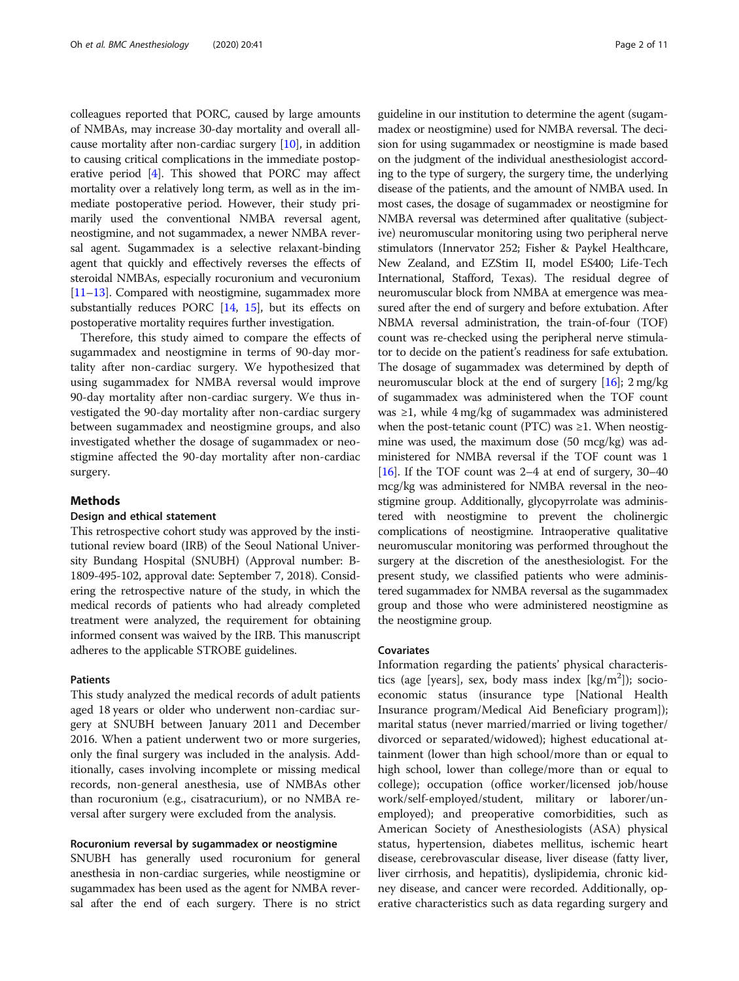colleagues reported that PORC, caused by large amounts of NMBAs, may increase 30-day mortality and overall allcause mortality after non-cardiac surgery  $[10]$  $[10]$  $[10]$ , in addition to causing critical complications in the immediate postoperative period [\[4\]](#page-9-0). This showed that PORC may affect mortality over a relatively long term, as well as in the immediate postoperative period. However, their study primarily used the conventional NMBA reversal agent, neostigmine, and not sugammadex, a newer NMBA reversal agent. Sugammadex is a selective relaxant-binding agent that quickly and effectively reverses the effects of steroidal NMBAs, especially rocuronium and vecuronium [[11](#page-9-0)–[13\]](#page-9-0). Compared with neostigmine, sugammadex more substantially reduces PORC [\[14](#page-9-0), [15\]](#page-9-0), but its effects on postoperative mortality requires further investigation.

Therefore, this study aimed to compare the effects of sugammadex and neostigmine in terms of 90-day mortality after non-cardiac surgery. We hypothesized that using sugammadex for NMBA reversal would improve 90-day mortality after non-cardiac surgery. We thus investigated the 90-day mortality after non-cardiac surgery between sugammadex and neostigmine groups, and also investigated whether the dosage of sugammadex or neostigmine affected the 90-day mortality after non-cardiac surgery.

## Methods

## Design and ethical statement

This retrospective cohort study was approved by the institutional review board (IRB) of the Seoul National University Bundang Hospital (SNUBH) (Approval number: B-1809-495-102, approval date: September 7, 2018). Considering the retrospective nature of the study, in which the medical records of patients who had already completed treatment were analyzed, the requirement for obtaining informed consent was waived by the IRB. This manuscript adheres to the applicable STROBE guidelines.

## Patients

This study analyzed the medical records of adult patients aged 18 years or older who underwent non-cardiac surgery at SNUBH between January 2011 and December 2016. When a patient underwent two or more surgeries, only the final surgery was included in the analysis. Additionally, cases involving incomplete or missing medical records, non-general anesthesia, use of NMBAs other than rocuronium (e.g., cisatracurium), or no NMBA reversal after surgery were excluded from the analysis.

## Rocuronium reversal by sugammadex or neostigmine

SNUBH has generally used rocuronium for general anesthesia in non-cardiac surgeries, while neostigmine or sugammadex has been used as the agent for NMBA reversal after the end of each surgery. There is no strict guideline in our institution to determine the agent (sugammadex or neostigmine) used for NMBA reversal. The decision for using sugammadex or neostigmine is made based on the judgment of the individual anesthesiologist according to the type of surgery, the surgery time, the underlying disease of the patients, and the amount of NMBA used. In most cases, the dosage of sugammadex or neostigmine for NMBA reversal was determined after qualitative (subjective) neuromuscular monitoring using two peripheral nerve stimulators (Innervator 252; Fisher & Paykel Healthcare, New Zealand, and EZStim II, model ES400; Life-Tech International, Stafford, Texas). The residual degree of neuromuscular block from NMBA at emergence was measured after the end of surgery and before extubation. After NBMA reversal administration, the train-of-four (TOF) count was re-checked using the peripheral nerve stimulator to decide on the patient's readiness for safe extubation. The dosage of sugammadex was determined by depth of neuromuscular block at the end of surgery [[16](#page-9-0)]; 2 mg/kg of sugammadex was administered when the TOF count was ≥1, while 4 mg/kg of sugammadex was administered when the post-tetanic count (PTC) was  $\geq$ 1. When neostigmine was used, the maximum dose (50 mcg/kg) was administered for NMBA reversal if the TOF count was 1 [[16](#page-9-0)]. If the TOF count was 2–4 at end of surgery, 30–40 mcg/kg was administered for NMBA reversal in the neostigmine group. Additionally, glycopyrrolate was administered with neostigmine to prevent the cholinergic complications of neostigmine. Intraoperative qualitative neuromuscular monitoring was performed throughout the surgery at the discretion of the anesthesiologist. For the present study, we classified patients who were administered sugammadex for NMBA reversal as the sugammadex group and those who were administered neostigmine as the neostigmine group.

### Covariates

Information regarding the patients' physical characteristics (age [years], sex, body mass index [kg/m<sup>2</sup>]); socioeconomic status (insurance type [National Health Insurance program/Medical Aid Beneficiary program]); marital status (never married/married or living together/ divorced or separated/widowed); highest educational attainment (lower than high school/more than or equal to high school, lower than college/more than or equal to college); occupation (office worker/licensed job/house work/self-employed/student, military or laborer/unemployed); and preoperative comorbidities, such as American Society of Anesthesiologists (ASA) physical status, hypertension, diabetes mellitus, ischemic heart disease, cerebrovascular disease, liver disease (fatty liver, liver cirrhosis, and hepatitis), dyslipidemia, chronic kidney disease, and cancer were recorded. Additionally, operative characteristics such as data regarding surgery and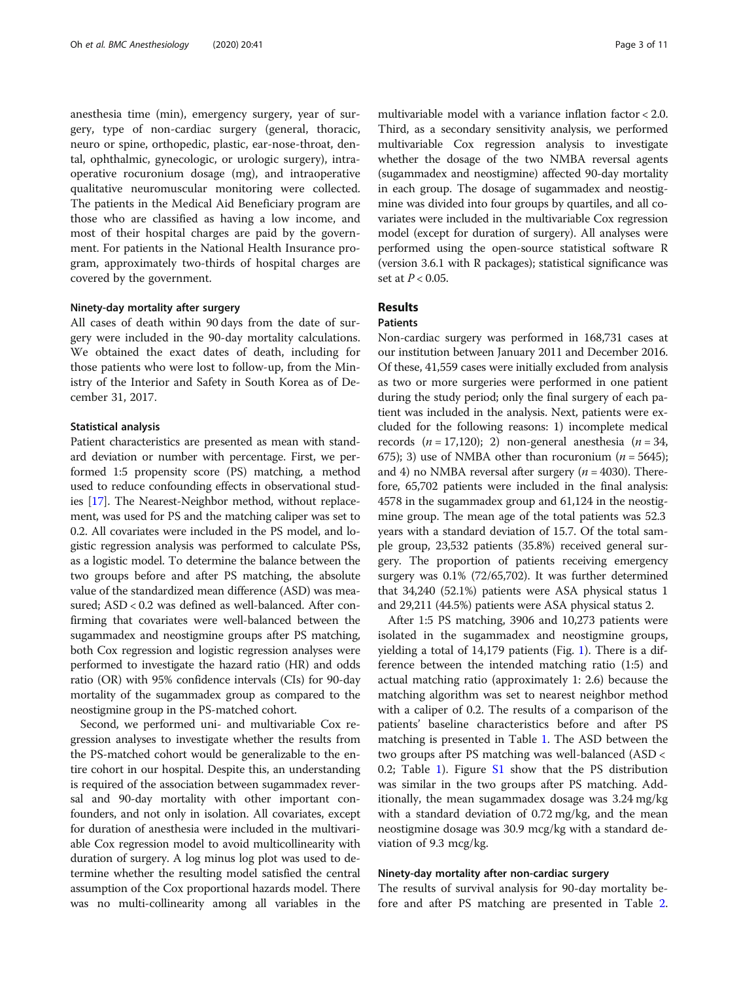anesthesia time (min), emergency surgery, year of surgery, type of non-cardiac surgery (general, thoracic, neuro or spine, orthopedic, plastic, ear-nose-throat, dental, ophthalmic, gynecologic, or urologic surgery), intraoperative rocuronium dosage (mg), and intraoperative qualitative neuromuscular monitoring were collected. The patients in the Medical Aid Beneficiary program are those who are classified as having a low income, and most of their hospital charges are paid by the government. For patients in the National Health Insurance program, approximately two-thirds of hospital charges are covered by the government.

### Ninety-day mortality after surgery

All cases of death within 90 days from the date of surgery were included in the 90-day mortality calculations. We obtained the exact dates of death, including for those patients who were lost to follow-up, from the Ministry of the Interior and Safety in South Korea as of December 31, 2017.

## Statistical analysis

Patient characteristics are presented as mean with standard deviation or number with percentage. First, we performed 1:5 propensity score (PS) matching, a method used to reduce confounding effects in observational studies [[17\]](#page-9-0). The Nearest-Neighbor method, without replacement, was used for PS and the matching caliper was set to 0.2. All covariates were included in the PS model, and logistic regression analysis was performed to calculate PSs, as a logistic model. To determine the balance between the two groups before and after PS matching, the absolute value of the standardized mean difference (ASD) was measured; ASD < 0.2 was defined as well-balanced. After confirming that covariates were well-balanced between the sugammadex and neostigmine groups after PS matching, both Cox regression and logistic regression analyses were performed to investigate the hazard ratio (HR) and odds ratio (OR) with 95% confidence intervals (CIs) for 90-day mortality of the sugammadex group as compared to the neostigmine group in the PS-matched cohort.

Second, we performed uni- and multivariable Cox regression analyses to investigate whether the results from the PS-matched cohort would be generalizable to the entire cohort in our hospital. Despite this, an understanding is required of the association between sugammadex reversal and 90-day mortality with other important confounders, and not only in isolation. All covariates, except for duration of anesthesia were included in the multivariable Cox regression model to avoid multicollinearity with duration of surgery. A log minus log plot was used to determine whether the resulting model satisfied the central assumption of the Cox proportional hazards model. There was no multi-collinearity among all variables in the

multivariable model with a variance inflation factor < 2.0. Third, as a secondary sensitivity analysis, we performed multivariable Cox regression analysis to investigate whether the dosage of the two NMBA reversal agents (sugammadex and neostigmine) affected 90-day mortality in each group. The dosage of sugammadex and neostigmine was divided into four groups by quartiles, and all covariates were included in the multivariable Cox regression model (except for duration of surgery). All analyses were performed using the open-source statistical software R (version 3.6.1 with R packages); statistical significance was set at  $P < 0.05$ .

## Results

## Patients

Non-cardiac surgery was performed in 168,731 cases at our institution between January 2011 and December 2016. Of these, 41,559 cases were initially excluded from analysis as two or more surgeries were performed in one patient during the study period; only the final surgery of each patient was included in the analysis. Next, patients were excluded for the following reasons: 1) incomplete medical records  $(n = 17,120)$ ; 2) non-general anesthesia  $(n = 34,$ 675); 3) use of NMBA other than rocuronium  $(n = 5645)$ ; and 4) no NMBA reversal after surgery ( $n = 4030$ ). Therefore, 65,702 patients were included in the final analysis: 4578 in the sugammadex group and 61,124 in the neostigmine group. The mean age of the total patients was 52.3 years with a standard deviation of 15.7. Of the total sample group, 23,532 patients (35.8%) received general surgery. The proportion of patients receiving emergency surgery was 0.1% (72/65,702). It was further determined that 34,240 (52.1%) patients were ASA physical status 1 and 29,211 (44.5%) patients were ASA physical status 2.

After 1:5 PS matching, 3906 and 10,273 patients were isolated in the sugammadex and neostigmine groups, yielding a total of 14,179 patients (Fig. [1](#page-3-0)). There is a difference between the intended matching ratio (1:5) and actual matching ratio (approximately 1: 2.6) because the matching algorithm was set to nearest neighbor method with a caliper of 0.2. The results of a comparison of the patients' baseline characteristics before and after PS matching is presented in Table [1](#page-4-0). The ASD between the two groups after PS matching was well-balanced (ASD < 0.2; Table [1](#page-4-0)). Figure [S1](#page-9-0) show that the PS distribution was similar in the two groups after PS matching. Additionally, the mean sugammadex dosage was 3.24 mg/kg with a standard deviation of 0.72 mg/kg, and the mean neostigmine dosage was 30.9 mcg/kg with a standard deviation of 9.3 mcg/kg.

## Ninety-day mortality after non-cardiac surgery

The results of survival analysis for 90-day mortality before and after PS matching are presented in Table [2](#page-5-0).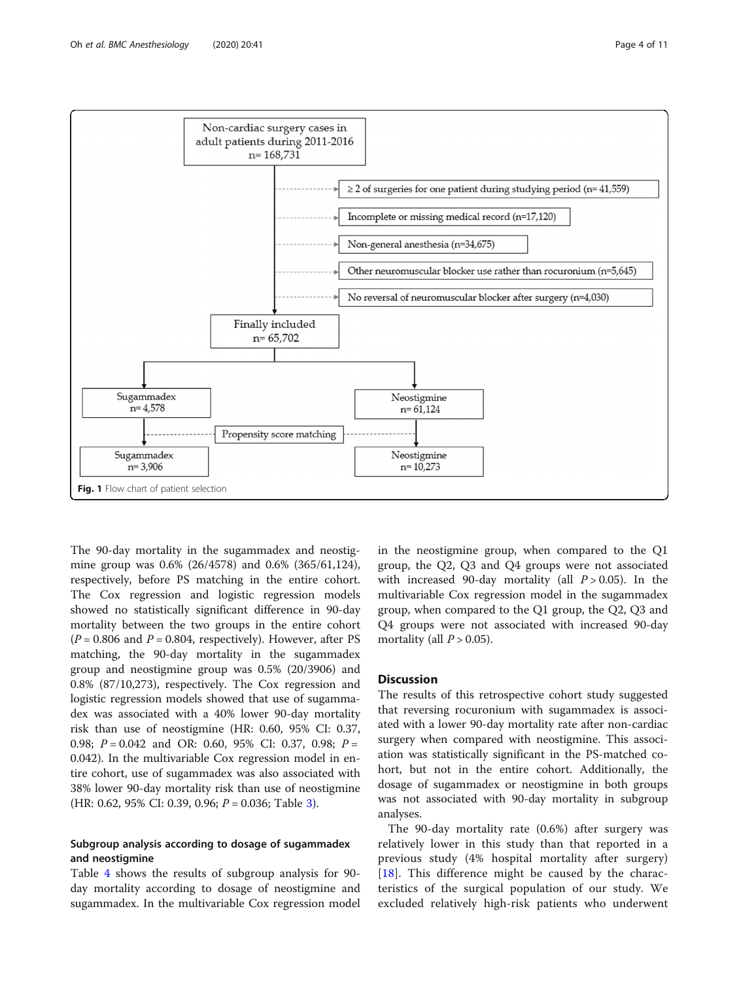<span id="page-3-0"></span>

The 90-day mortality in the sugammadex and neostigmine group was 0.6% (26/4578) and 0.6% (365/61,124), respectively, before PS matching in the entire cohort. The Cox regression and logistic regression models showed no statistically significant difference in 90-day mortality between the two groups in the entire cohort  $(P = 0.806$  and  $P = 0.804$ , respectively). However, after PS matching, the 90-day mortality in the sugammadex group and neostigmine group was 0.5% (20/3906) and 0.8% (87/10,273), respectively. The Cox regression and logistic regression models showed that use of sugammadex was associated with a 40% lower 90-day mortality risk than use of neostigmine (HR: 0.60, 95% CI: 0.37, 0.98;  $P = 0.042$  and OR: 0.60, 95% CI: 0.37, 0.98;  $P =$ 0.042). In the multivariable Cox regression model in entire cohort, use of sugammadex was also associated with 38% lower 90-day mortality risk than use of neostigmine (HR: 0.62, 95% CI: 0.39, 0.96;  $P = 0.036$ ; Table [3\)](#page-6-0).

## Subgroup analysis according to dosage of sugammadex and neostigmine

Table [4](#page-7-0) shows the results of subgroup analysis for 90 day mortality according to dosage of neostigmine and sugammadex. In the multivariable Cox regression model in the neostigmine group, when compared to the Q1 group, the Q2, Q3 and Q4 groups were not associated with increased 90-day mortality (all  $P > 0.05$ ). In the multivariable Cox regression model in the sugammadex group, when compared to the Q1 group, the Q2, Q3 and Q4 groups were not associated with increased 90-day mortality (all  $P > 0.05$ ).

## **Discussion**

The results of this retrospective cohort study suggested that reversing rocuronium with sugammadex is associated with a lower 90-day mortality rate after non-cardiac surgery when compared with neostigmine. This association was statistically significant in the PS-matched cohort, but not in the entire cohort. Additionally, the dosage of sugammadex or neostigmine in both groups was not associated with 90-day mortality in subgroup analyses.

The 90-day mortality rate (0.6%) after surgery was relatively lower in this study than that reported in a previous study (4% hospital mortality after surgery) [[18\]](#page-9-0). This difference might be caused by the characteristics of the surgical population of our study. We excluded relatively high-risk patients who underwent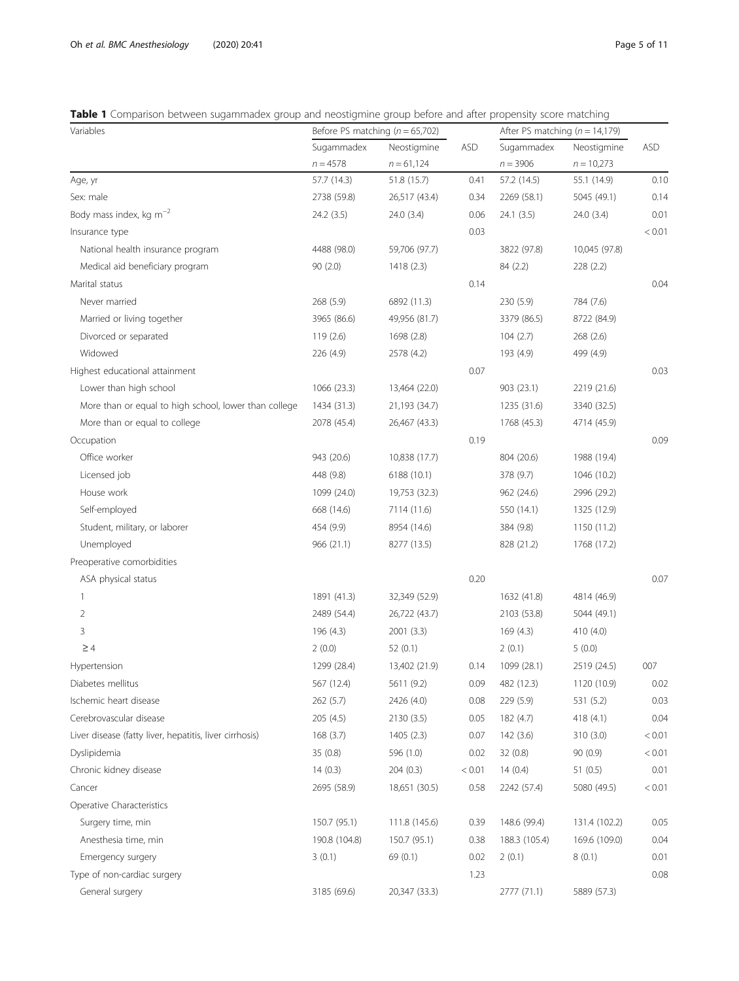## <span id="page-4-0"></span>Table 1 Comparison between sugammadex group and neostigmine group before and after propensity score matching

| Variables                                               | Before PS matching ( $n = 65,702$ ) |               |            | After PS matching ( $n = 14,179$ ) |               |            |
|---------------------------------------------------------|-------------------------------------|---------------|------------|------------------------------------|---------------|------------|
|                                                         | Sugammadex                          | Neostigmine   | <b>ASD</b> | Sugammadex                         | Neostigmine   | <b>ASD</b> |
|                                                         | $n = 4578$                          | $n = 61,124$  |            | $n = 3906$                         | $n = 10,273$  |            |
| Age, yr                                                 | 57.7 (14.3)                         | 51.8 (15.7)   | 0.41       | 57.2 (14.5)                        | 55.1 (14.9)   | 0.10       |
| Sex: male                                               | 2738 (59.8)                         | 26,517 (43.4) | 0.34       | 2269 (58.1)                        | 5045 (49.1)   | 0.14       |
| Body mass index, kg m <sup>-2</sup>                     | 24.2 (3.5)                          | 24.0 (3.4)    | 0.06       | 24.1(3.5)                          | 24.0 (3.4)    | 0.01       |
| Insurance type                                          |                                     |               | 0.03       |                                    |               | < 0.01     |
| National health insurance program                       | 4488 (98.0)                         | 59,706 (97.7) |            | 3822 (97.8)                        | 10,045 (97.8) |            |
| Medical aid beneficiary program                         | 90 (2.0)                            | 1418(2.3)     |            | 84 (2.2)                           | 228 (2.2)     |            |
| Marital status                                          |                                     |               | 0.14       |                                    |               | 0.04       |
| Never married                                           | 268 (5.9)                           | 6892 (11.3)   |            | 230 (5.9)                          | 784 (7.6)     |            |
| Married or living together                              | 3965 (86.6)                         | 49,956 (81.7) |            | 3379 (86.5)                        | 8722 (84.9)   |            |
| Divorced or separated                                   | 119(2.6)                            | 1698 (2.8)    |            | 104(2.7)                           | 268 (2.6)     |            |
| Widowed                                                 | 226 (4.9)                           | 2578 (4.2)    |            | 193 (4.9)                          | 499 (4.9)     |            |
| Highest educational attainment                          |                                     |               | 0.07       |                                    |               | 0.03       |
| Lower than high school                                  | 1066 (23.3)                         | 13,464 (22.0) |            | 903 (23.1)                         | 2219 (21.6)   |            |
| More than or equal to high school, lower than college   | 1434 (31.3)                         | 21,193 (34.7) |            | 1235 (31.6)                        | 3340 (32.5)   |            |
| More than or equal to college                           | 2078 (45.4)                         | 26,467 (43.3) |            | 1768 (45.3)                        | 4714 (45.9)   |            |
| Occupation                                              |                                     |               | 0.19       |                                    |               | 0.09       |
| Office worker                                           | 943 (20.6)                          | 10,838 (17.7) |            | 804 (20.6)                         | 1988 (19.4)   |            |
| Licensed job                                            | 448 (9.8)                           | 6188 (10.1)   |            | 378 (9.7)                          | 1046 (10.2)   |            |
| House work                                              | 1099 (24.0)                         | 19,753 (32.3) |            | 962 (24.6)                         | 2996 (29.2)   |            |
| Self-employed                                           | 668 (14.6)                          | 7114 (11.6)   |            | 550 (14.1)                         | 1325 (12.9)   |            |
| Student, military, or laborer                           | 454 (9.9)                           | 8954 (14.6)   |            | 384 (9.8)                          | 1150 (11.2)   |            |
| Unemployed                                              | 966 (21.1)                          | 8277 (13.5)   |            | 828 (21.2)                         | 1768 (17.2)   |            |
| Preoperative comorbidities                              |                                     |               |            |                                    |               |            |
| ASA physical status                                     |                                     |               | 0.20       |                                    |               | 0.07       |
| 1                                                       | 1891 (41.3)                         | 32,349 (52.9) |            | 1632 (41.8)                        | 4814 (46.9)   |            |
| $\overline{2}$                                          | 2489 (54.4)                         | 26,722 (43.7) |            | 2103 (53.8)                        | 5044 (49.1)   |            |
| 3                                                       | 196 (4.3)                           | 2001 (3.3)    |            | 169 (4.3)                          | 410 (4.0)     |            |
| $\geq 4$                                                | 2(0.0)                              | 52(0.1)       |            | 2(0.1)                             | 5(0.0)        |            |
| Hypertension                                            | 1299 (28.4)                         | 13,402 (21.9) | 0.14       | 1099 (28.1)                        | 2519 (24.5)   | 007        |
| Diabetes mellitus                                       | 567 (12.4)                          | 5611 (9.2)    | 0.09       | 482 (12.3)                         | 1120 (10.9)   | 0.02       |
| Ischemic heart disease                                  | 262 (5.7)                           | 2426 (4.0)    | 0.08       | 229 (5.9)                          | 531 (5.2)     | 0.03       |
| Cerebrovascular disease                                 | 205 (4.5)                           | 2130 (3.5)    | 0.05       | 182 (4.7)                          | 418 (4.1)     | 0.04       |
| Liver disease (fatty liver, hepatitis, liver cirrhosis) | 168(3.7)                            | 1405 (2.3)    | 0.07       | 142 (3.6)                          | 310 (3.0)     | < 0.01     |
| Dyslipidemia                                            | 35(0.8)                             | 596 (1.0)     | 0.02       | 32(0.8)                            | 90(0.9)       | < 0.01     |
| Chronic kidney disease                                  | 14(0.3)                             | 204(0.3)      | < 0.01     | 14(0.4)                            | 51(0.5)       | 0.01       |
| Cancer                                                  | 2695 (58.9)                         | 18,651 (30.5) | 0.58       | 2242 (57.4)                        | 5080 (49.5)   | < 0.01     |
| Operative Characteristics                               |                                     |               |            |                                    |               |            |
| Surgery time, min                                       | 150.7 (95.1)                        | 111.8 (145.6) | 0.39       | 148.6 (99.4)                       | 131.4 (102.2) | 0.05       |
| Anesthesia time, min                                    | 190.8 (104.8)                       | 150.7 (95.1)  | 0.38       | 188.3 (105.4)                      | 169.6 (109.0) | 0.04       |
| Emergency surgery                                       | 3(0.1)                              | 69 (0.1)      | 0.02       | 2(0.1)                             | 8(0.1)        | 0.01       |
| Type of non-cardiac surgery                             |                                     |               | 1.23       |                                    |               | 0.08       |
| General surgery                                         | 3185 (69.6)                         | 20,347 (33.3) |            | 2777 (71.1)                        | 5889 (57.3)   |            |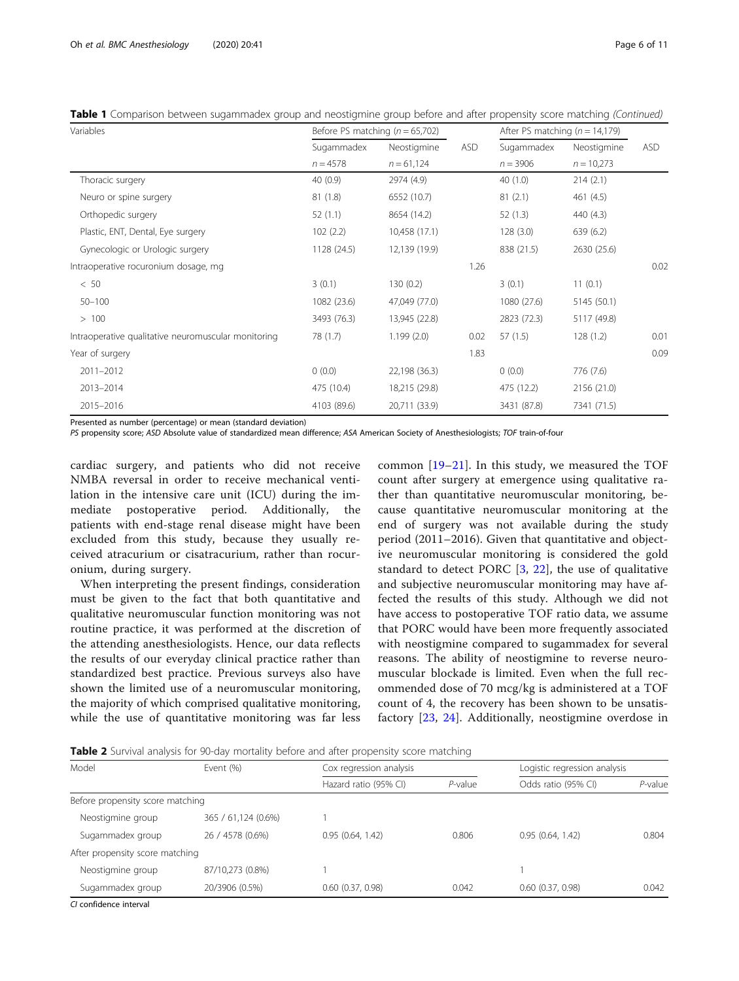| Variables                                           | Before PS matching ( $n = 65,702$ ) |               |            | After PS matching ( $n = 14,179$ ) |              |            |
|-----------------------------------------------------|-------------------------------------|---------------|------------|------------------------------------|--------------|------------|
|                                                     | Sugammadex                          | Neostigmine   | <b>ASD</b> | Sugammadex                         | Neostigmine  | <b>ASD</b> |
|                                                     | $n = 4578$                          | $n = 61,124$  |            | $n = 3906$                         | $n = 10,273$ |            |
| Thoracic surgery                                    | 40(0.9)                             | 2974 (4.9)    |            | 40(1.0)                            | 214(2.1)     |            |
| Neuro or spine surgery                              | 81(1.8)                             | 6552 (10.7)   |            | 81(2.1)                            | 461 (4.5)    |            |
| Orthopedic surgery                                  | 52(1.1)                             | 8654 (14.2)   |            | 52(1.3)                            | 440 (4.3)    |            |
| Plastic, ENT, Dental, Eye surgery                   | 102(2.2)                            | 10,458 (17.1) |            | 128(3.0)                           | 639 (6.2)    |            |
| Gynecologic or Urologic surgery                     | 1128 (24.5)                         | 12,139 (19.9) |            | 838 (21.5)                         | 2630 (25.6)  |            |
| Intraoperative rocuronium dosage, mg                |                                     |               | 1.26       |                                    |              | 0.02       |
| < 50                                                | 3(0.1)                              | 130(0.2)      |            | 3(0.1)                             | 11(0.1)      |            |
| $50 - 100$                                          | 1082 (23.6)                         | 47,049 (77.0) |            | 1080 (27.6)                        | 5145 (50.1)  |            |
| >100                                                | 3493 (76.3)                         | 13,945 (22.8) |            | 2823 (72.3)                        | 5117 (49.8)  |            |
| Intraoperative qualitative neuromuscular monitoring | 78 (1.7)                            | 1.199(2.0)    | 0.02       | 57(1.5)                            | 128(1.2)     | 0.01       |
| Year of surgery                                     |                                     |               | 1.83       |                                    |              | 0.09       |
| 2011-2012                                           | 0(0.0)                              | 22,198 (36.3) |            | 0(0.0)                             | 776 (7.6)    |            |
| 2013-2014                                           | 475 (10.4)                          | 18,215 (29.8) |            | 475 (12.2)                         | 2156 (21.0)  |            |
| 2015-2016                                           | 4103 (89.6)                         | 20,711 (33.9) |            | 3431 (87.8)                        | 7341 (71.5)  |            |

<span id="page-5-0"></span>Table 1 Comparison between sugammadex group and neostigmine group before and after propensity score matching (Continued)

Presented as number (percentage) or mean (standard deviation)

PS propensity score; ASD Absolute value of standardized mean difference; ASA American Society of Anesthesiologists; TOF train-of-four

cardiac surgery, and patients who did not receive NMBA reversal in order to receive mechanical ventilation in the intensive care unit (ICU) during the immediate postoperative period. Additionally, the patients with end-stage renal disease might have been excluded from this study, because they usually received atracurium or cisatracurium, rather than rocuronium, during surgery.

When interpreting the present findings, consideration must be given to the fact that both quantitative and qualitative neuromuscular function monitoring was not routine practice, it was performed at the discretion of the attending anesthesiologists. Hence, our data reflects the results of our everyday clinical practice rather than standardized best practice. Previous surveys also have shown the limited use of a neuromuscular monitoring, the majority of which comprised qualitative monitoring, while the use of quantitative monitoring was far less common [[19](#page-9-0)–[21\]](#page-9-0). In this study, we measured the TOF count after surgery at emergence using qualitative rather than quantitative neuromuscular monitoring, because quantitative neuromuscular monitoring at the end of surgery was not available during the study period (2011–2016). Given that quantitative and objective neuromuscular monitoring is considered the gold standard to detect PORC  $[3, 22]$  $[3, 22]$  $[3, 22]$  $[3, 22]$ , the use of qualitative and subjective neuromuscular monitoring may have affected the results of this study. Although we did not have access to postoperative TOF ratio data, we assume that PORC would have been more frequently associated with neostigmine compared to sugammadex for several reasons. The ability of neostigmine to reverse neuromuscular blockade is limited. Even when the full recommended dose of 70 mcg/kg is administered at a TOF count of 4, the recovery has been shown to be unsatisfactory [[23,](#page-9-0) [24](#page-9-0)]. Additionally, neostigmine overdose in

**Table 2** Survival analysis for 90-day mortality before and after propensity score matching

| Event (%)                        | Cox regression analysis |            | Logistic regression analysis |         |
|----------------------------------|-------------------------|------------|------------------------------|---------|
|                                  | Hazard ratio (95% CI)   | $P$ -value | Odds ratio (95% CI)          | P-value |
| Before propensity score matching |                         |            |                              |         |
| 365 / 61,124 (0.6%)              |                         |            |                              |         |
| 26 / 4578 (0.6%)                 | 0.95(0.64, 1.42)        | 0.806      | 0.95(0.64, 1.42)             | 0.804   |
| After propensity score matching  |                         |            |                              |         |
| 87/10,273 (0.8%)                 |                         |            |                              |         |
| 20/3906 (0.5%)                   | $0.60$ $(0.37, 0.98)$   | 0.042      | $0.60$ $(0.37, 0.98)$        | 0.042   |
|                                  |                         |            |                              |         |

CI confidence interval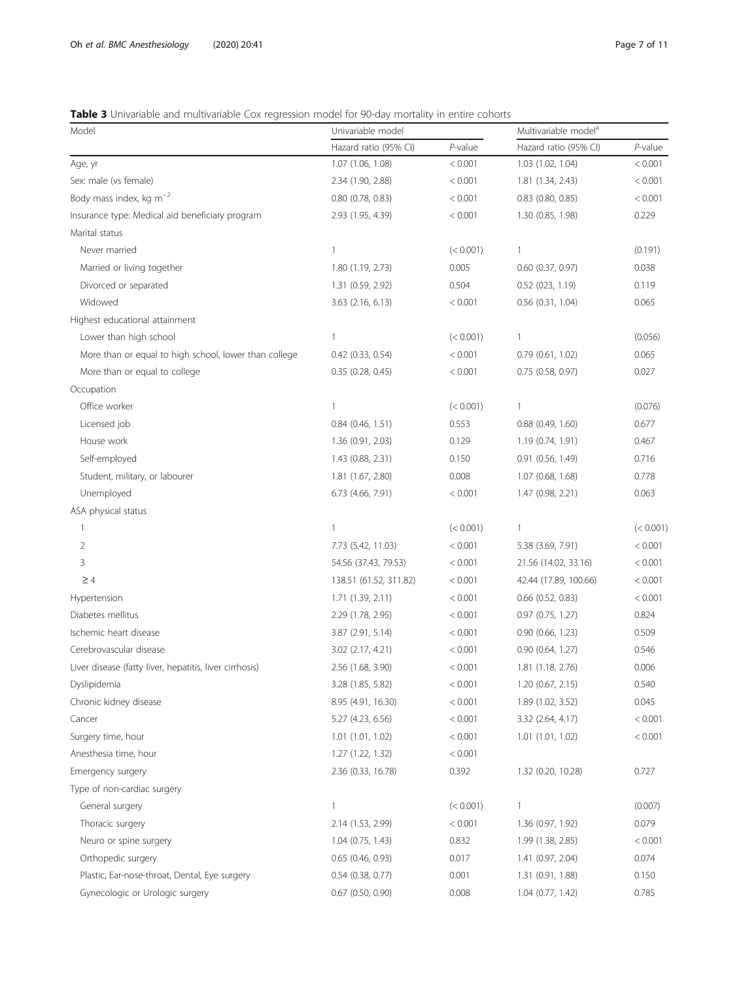## <span id="page-6-0"></span>Table 3 Univariable and multivariable Cox regression model for 90-day mortality in entire cohorts

| Model                                                   | Univariable model      |            | Multivariable model <sup>a</sup> |            |
|---------------------------------------------------------|------------------------|------------|----------------------------------|------------|
|                                                         | Hazard ratio (95% CI)  | $P$ -value | Hazard ratio (95% CI)            | $P$ -value |
| Age, yr                                                 | 1.07 (1.06, 1.08)      | < 0.001    | 1.03 (1.02, 1.04)                | < 0.001    |
| Sex: male (vs female)                                   | 2.34 (1.90, 2.88)      | < 0.001    | 1.81(1.34, 2.43)                 | < 0.001    |
| Body mass index, kg $m^{-2}$                            | $0.80$ $(0.78, 0.83)$  | < 0.001    | $0.83$ $(0.80, 0.85)$            | < 0.001    |
| Insurance type: Medical aid beneficiary program         | 2.93 (1.95, 4.39)      | < 0.001    | 1.30 (0.85, 1.98)                | 0.229      |
| Marital status                                          |                        |            |                                  |            |
| Never married                                           | $\mathbf{1}$           | (< 0.001)  | $\mathbf{1}$                     | (0.191)    |
| Married or living together                              | 1.80 (1.19, 2.73)      | 0.005      | $0.60$ $(0.37, 0.97)$            | 0.038      |
| Divorced or separated                                   | 1.31 (0.59, 2.92)      | 0.504      | 0.52(023, 1.19)                  | 0.119      |
| Widowed                                                 | 3.63 (2.16, 6.13)      | < 0.001    | $0.56$ $(0.31, 1.04)$            | 0.065      |
| Highest educational attainment                          |                        |            |                                  |            |
| Lower than high school                                  | $\mathbf{1}$           | (< 0.001)  | 1                                | (0.056)    |
| More than or equal to high school, lower than college   | $0.42$ $(0.33, 0.54)$  | < 0.001    | 0.79(0.61, 1.02)                 | 0.065      |
| More than or equal to college                           | 0.35(0.28, 0.45)       | < 0.001    | 0.75 (0.58, 0.97)                | 0.027      |
| Occupation                                              |                        |            |                                  |            |
| Office worker                                           | $\mathbf{1}$           | (< 0.001)  | 1                                | (0.076)    |
| Licensed job                                            | $0.84$ (0.46, 1.51)    | 0.553      | $0.88$ $(0.49, 1.60)$            | 0.677      |
| House work                                              | 1.36 (0.91, 2.03)      | 0.129      | 1.19 (0.74, 1.91)                | 0.467      |
| Self-employed                                           | 1.43 (0.88, 2.31)      | 0.150      | 0.91(0.56, 1.49)                 | 0.716      |
| Student, military, or labourer                          | 1.81 (1.67, 2.80)      | 0.008      | 1.07(0.68, 1.68)                 | 0.778      |
| Unemployed                                              | 6.73 (4.66, 7.91)      | < 0.001    | 1.47 (0.98, 2.21)                | 0.063      |
| ASA physical status                                     |                        |            |                                  |            |
| 1                                                       | $\mathbf{1}$           | (< 0.001)  | 1                                | (< 0.001)  |
| 2                                                       | 7.73 (5.42, 11.03)     | < 0.001    | 5.38 (3.69, 7.91)                | < 0.001    |
| 3                                                       | 54.56 (37.43, 79.53)   | < 0.001    | 21.56 (14.02, 33.16)             | < 0.001    |
| $\geq 4$                                                | 138.51 (61.52, 311.82) | < 0.001    | 42.44 (17.89, 100.66)            | < 0.001    |
| Hypertension                                            | 1.71(1.39, 2.11)       | < 0.001    | $0.66$ $(0.52, 0.83)$            | < 0.001    |
| Diabetes mellitus                                       | 2.29 (1.78, 2.95)      | < 0.001    | 0.97 (0.75, 1.27)                | 0.824      |
| Ischemic heart disease                                  | 3.87 (2.91, 5.14)      | < 0.001    | 0.90(0.66, 1.23)                 | 0.509      |
| Cerebrovascular disease                                 | 3.02 (2.17, 4.21)      | < 0.001    | 0.90(0.64, 1.27)                 | 0.546      |
| Liver disease (fatty liver, hepatitis, liver cirrhosis) | 2.56 (1.68, 3.90)      | < 0.001    | 1.81 (1.18, 2.76)                | 0.006      |
| Dyslipidemia                                            | 3.28 (1.85, 5.82)      | < 0.001    | 1.20 (0.67, 2.15)                | 0.540      |
| Chronic kidney disease                                  | 8.95 (4.91, 16.30)     | < 0.001    | 1.89 (1.02, 3.52)                | 0.045      |
| Cancer                                                  | 5.27 (4.23, 6.56)      | < 0.001    | 3.32 (2.64, 4.17)                | < 0.001    |
| Surgery time, hour                                      | 1.01 (1.01, 1.02)      | < 0.001    | 1.01(1.01, 1.02)                 | < 0.001    |
| Anesthesia time, hour                                   | 1.27 (1.22, 1.32)      | < 0.001    |                                  |            |
| Emergency surgery                                       | 2.36 (0.33, 16.78)     | 0.392      | 1.32 (0.20, 10.28)               | 0.727      |
| Type of non-cardiac surgery                             |                        |            |                                  |            |
| General surgery                                         | $\mathbf{1}$           | (< 0.001)  | $\mathbf{1}$                     | (0.007)    |
| Thoracic surgery                                        | 2.14 (1.53, 2.99)      | < 0.001    | 1.36 (0.97, 1.92)                | 0.079      |
| Neuro or spine surgery                                  | $1.04$ (0.75, 1.43)    | 0.832      | 1.99 (1.38, 2.85)                | < 0.001    |
| Orthopedic surgery                                      | $0.65$ (0.46, 0.93)    | 0.017      | 1.41 (0.97, 2.04)                | 0.074      |
| Plastic, Ear-nose-throat, Dental, Eye surgery           | $0.54$ (0.38, 0.77)    | 0.001      | 1.31 (0.91, 1.88)                | 0.150      |
| Gynecologic or Urologic surgery                         | $0.67$ (0.50, 0.90)    | 0.008      | 1.04 (0.77, 1.42)                | 0.785      |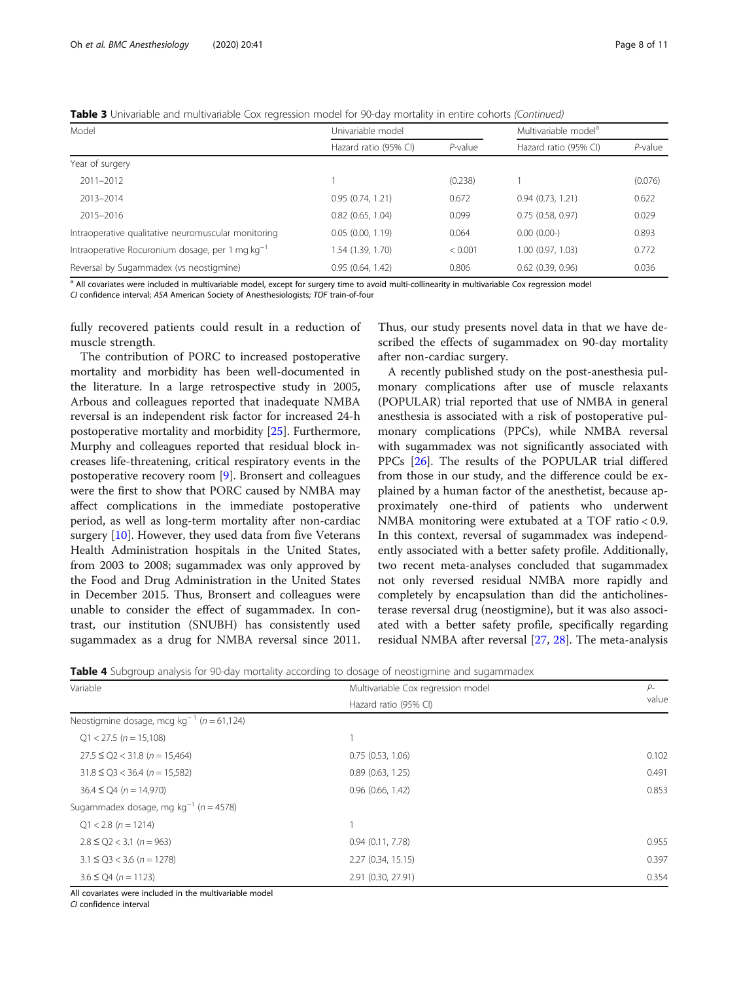<span id="page-7-0"></span>Table 3 Univariable and multivariable Cox regression model for 90-day mortality in entire cohorts (Continued)

| Model                                                | Univariable model     |            | Multivariable model <sup>a</sup> |            |
|------------------------------------------------------|-----------------------|------------|----------------------------------|------------|
|                                                      | Hazard ratio (95% CI) | $P$ -value | Hazard ratio (95% CI)            | $P$ -value |
| Year of surgery                                      |                       |            |                                  |            |
| $2011 - 2012$                                        |                       | (0.238)    |                                  | (0.076)    |
| 2013-2014                                            | 0.95(0.74, 1.21)      | 0.672      | 0.94(0.73, 1.21)                 | 0.622      |
| 2015-2016                                            | $0.82$ $(0.65, 1.04)$ | 0.099      | 0.75(0.58, 0.97)                 | 0.029      |
| Intraoperative qualitative neuromuscular monitoring  | 0.05(0.00, 1.19)      | 0.064      | 0.00(0.00)                       | 0.893      |
| Intraoperative Rocuronium dosage, per 1 mg $kg^{-1}$ | 1.54 (1.39, 1.70)     | < 0.001    | 1.00(0.97, 1.03)                 | 0.772      |
| Reversal by Sugammadex (vs neostigmine)              | 0.95(0.64, 1.42)      | 0.806      | $0.62$ $(0.39, 0.96)$            | 0.036      |

<sup>a</sup> All covariates were included in multivariable model, except for surgery time to avoid multi-collinearity in multivariable Cox regression model

CI confidence interval; ASA American Society of Anesthesiologists; TOF train-of-four

fully recovered patients could result in a reduction of muscle strength.

The contribution of PORC to increased postoperative mortality and morbidity has been well-documented in the literature. In a large retrospective study in 2005, Arbous and colleagues reported that inadequate NMBA reversal is an independent risk factor for increased 24-h postoperative mortality and morbidity [\[25](#page-9-0)]. Furthermore, Murphy and colleagues reported that residual block increases life-threatening, critical respiratory events in the postoperative recovery room [[9\]](#page-9-0). Bronsert and colleagues were the first to show that PORC caused by NMBA may affect complications in the immediate postoperative period, as well as long-term mortality after non-cardiac surgery [[10\]](#page-9-0). However, they used data from five Veterans Health Administration hospitals in the United States, from 2003 to 2008; sugammadex was only approved by the Food and Drug Administration in the United States in December 2015. Thus, Bronsert and colleagues were unable to consider the effect of sugammadex. In contrast, our institution (SNUBH) has consistently used sugammadex as a drug for NMBA reversal since 2011. Thus, our study presents novel data in that we have described the effects of sugammadex on 90-day mortality after non-cardiac surgery.

A recently published study on the post-anesthesia pulmonary complications after use of muscle relaxants (POPULAR) trial reported that use of NMBA in general anesthesia is associated with a risk of postoperative pulmonary complications (PPCs), while NMBA reversal with sugammadex was not significantly associated with PPCs [\[26\]](#page-9-0). The results of the POPULAR trial differed from those in our study, and the difference could be explained by a human factor of the anesthetist, because approximately one-third of patients who underwent NMBA monitoring were extubated at a TOF ratio < 0.9. In this context, reversal of sugammadex was independently associated with a better safety profile. Additionally, two recent meta-analyses concluded that sugammadex not only reversed residual NMBA more rapidly and completely by encapsulation than did the anticholinesterase reversal drug (neostigmine), but it was also associated with a better safety profile, specifically regarding residual NMBA after reversal [\[27,](#page-9-0) [28\]](#page-10-0). The meta-analysis

**Table 4** Subgroup analysis for 90-day mortality according to dosage of neostigmine and sugammadex

| Variable                                                  | Multivariable Cox regression model | $P-$<br>value |
|-----------------------------------------------------------|------------------------------------|---------------|
|                                                           | Hazard ratio (95% CI)              |               |
| Neostigmine dosage, mcg kg <sup>-1</sup> ( $n = 61,124$ ) |                                    |               |
| $Q1 < 27.5$ (n = 15,108)                                  |                                    |               |
| $27.5 \le Q2 < 31.8$ (n = 15,464)                         | 0.75(0.53, 1.06)                   | 0.102         |
| $31.8 \le Q3 < 36.4$ (n = 15,582)                         | 0.89(0.63, 1.25)                   | 0.491         |
| $36.4 \le Q4$ (n = 14,970)                                | 0.96(0.66, 1.42)                   | 0.853         |
| Sugammadex dosage, mg kg <sup>-1</sup> ( $n = 4578$ )     |                                    |               |
| $Q1 < 2.8$ (n = 1214)                                     |                                    |               |
| $2.8 \le Q2 < 3.1$ (n = 963)                              | 0.94(0.11, 7.78)                   | 0.955         |
| $3.1 \le Q3 < 3.6$ (n = 1278)                             | 2.27 (0.34, 15.15)                 | 0.397         |
| $3.6 \le Q4 (n = 1123)$                                   | 2.91 (0.30, 27.91)                 | 0.354         |

All covariates were included in the multivariable model

CI confidence interval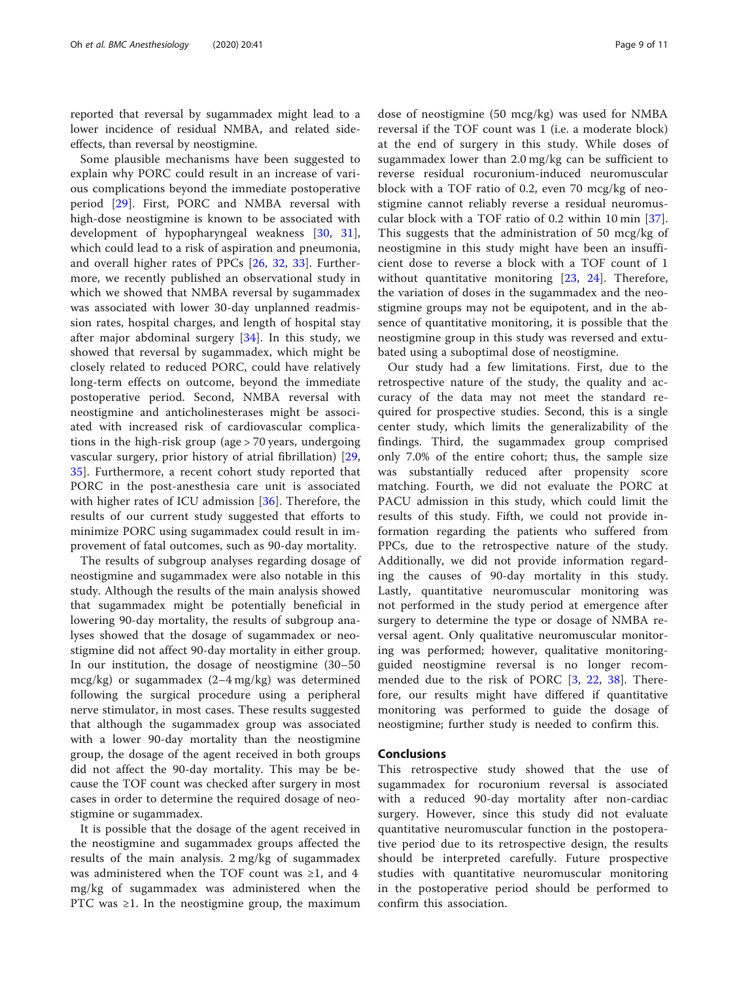reported that reversal by sugammadex might lead to a lower incidence of residual NMBA, and related sideeffects, than reversal by neostigmine.

Some plausible mechanisms have been suggested to explain why PORC could result in an increase of various complications beyond the immediate postoperative period [\[29](#page-10-0)]. First, PORC and NMBA reversal with high-dose neostigmine is known to be associated with development of hypopharyngeal weakness [[30,](#page-10-0) [31](#page-10-0)], which could lead to a risk of aspiration and pneumonia, and overall higher rates of PPCs [[26,](#page-9-0) [32,](#page-10-0) [33\]](#page-10-0). Furthermore, we recently published an observational study in which we showed that NMBA reversal by sugammadex was associated with lower 30-day unplanned readmission rates, hospital charges, and length of hospital stay after major abdominal surgery [\[34\]](#page-10-0). In this study, we showed that reversal by sugammadex, which might be closely related to reduced PORC, could have relatively long-term effects on outcome, beyond the immediate postoperative period. Second, NMBA reversal with neostigmine and anticholinesterases might be associated with increased risk of cardiovascular complications in the high-risk group (age > 70 years, undergoing vascular surgery, prior history of atrial fibrillation) [\[29](#page-10-0), [35\]](#page-10-0). Furthermore, a recent cohort study reported that PORC in the post-anesthesia care unit is associated with higher rates of ICU admission [[36\]](#page-10-0). Therefore, the results of our current study suggested that efforts to minimize PORC using sugammadex could result in improvement of fatal outcomes, such as 90-day mortality.

The results of subgroup analyses regarding dosage of neostigmine and sugammadex were also notable in this study. Although the results of the main analysis showed that sugammadex might be potentially beneficial in lowering 90-day mortality, the results of subgroup analyses showed that the dosage of sugammadex or neostigmine did not affect 90-day mortality in either group. In our institution, the dosage of neostigmine (30–50 mcg/kg) or sugammadex (2–4 mg/kg) was determined following the surgical procedure using a peripheral nerve stimulator, in most cases. These results suggested that although the sugammadex group was associated with a lower 90-day mortality than the neostigmine group, the dosage of the agent received in both groups did not affect the 90-day mortality. This may be because the TOF count was checked after surgery in most cases in order to determine the required dosage of neostigmine or sugammadex.

It is possible that the dosage of the agent received in the neostigmine and sugammadex groups affected the results of the main analysis. 2 mg/kg of sugammadex was administered when the TOF count was  $\geq 1$ , and 4 mg/kg of sugammadex was administered when the PTC was  $\geq 1$ . In the neostigmine group, the maximum

dose of neostigmine (50 mcg/kg) was used for NMBA reversal if the TOF count was 1 (i.e. a moderate block) at the end of surgery in this study. While doses of sugammadex lower than 2.0 mg/kg can be sufficient to reverse residual rocuronium-induced neuromuscular block with a TOF ratio of 0.2, even 70 mcg/kg of neostigmine cannot reliably reverse a residual neuromuscular block with a TOF ratio of 0.2 within 10 min [[37](#page-10-0)]. This suggests that the administration of 50 mcg/kg of neostigmine in this study might have been an insufficient dose to reverse a block with a TOF count of 1 without quantitative monitoring [[23](#page-9-0), [24](#page-9-0)]. Therefore, the variation of doses in the sugammadex and the neostigmine groups may not be equipotent, and in the absence of quantitative monitoring, it is possible that the neostigmine group in this study was reversed and extubated using a suboptimal dose of neostigmine.

Our study had a few limitations. First, due to the retrospective nature of the study, the quality and accuracy of the data may not meet the standard required for prospective studies. Second, this is a single center study, which limits the generalizability of the findings. Third, the sugammadex group comprised only 7.0% of the entire cohort; thus, the sample size was substantially reduced after propensity score matching. Fourth, we did not evaluate the PORC at PACU admission in this study, which could limit the results of this study. Fifth, we could not provide information regarding the patients who suffered from PPCs, due to the retrospective nature of the study. Additionally, we did not provide information regarding the causes of 90-day mortality in this study. Lastly, quantitative neuromuscular monitoring was not performed in the study period at emergence after surgery to determine the type or dosage of NMBA reversal agent. Only qualitative neuromuscular monitoring was performed; however, qualitative monitoringguided neostigmine reversal is no longer recommended due to the risk of PORC [[3](#page-9-0), [22](#page-9-0), [38\]](#page-10-0). Therefore, our results might have differed if quantitative monitoring was performed to guide the dosage of neostigmine; further study is needed to confirm this.

### Conclusions

This retrospective study showed that the use of sugammadex for rocuronium reversal is associated with a reduced 90-day mortality after non-cardiac surgery. However, since this study did not evaluate quantitative neuromuscular function in the postoperative period due to its retrospective design, the results should be interpreted carefully. Future prospective studies with quantitative neuromuscular monitoring in the postoperative period should be performed to confirm this association.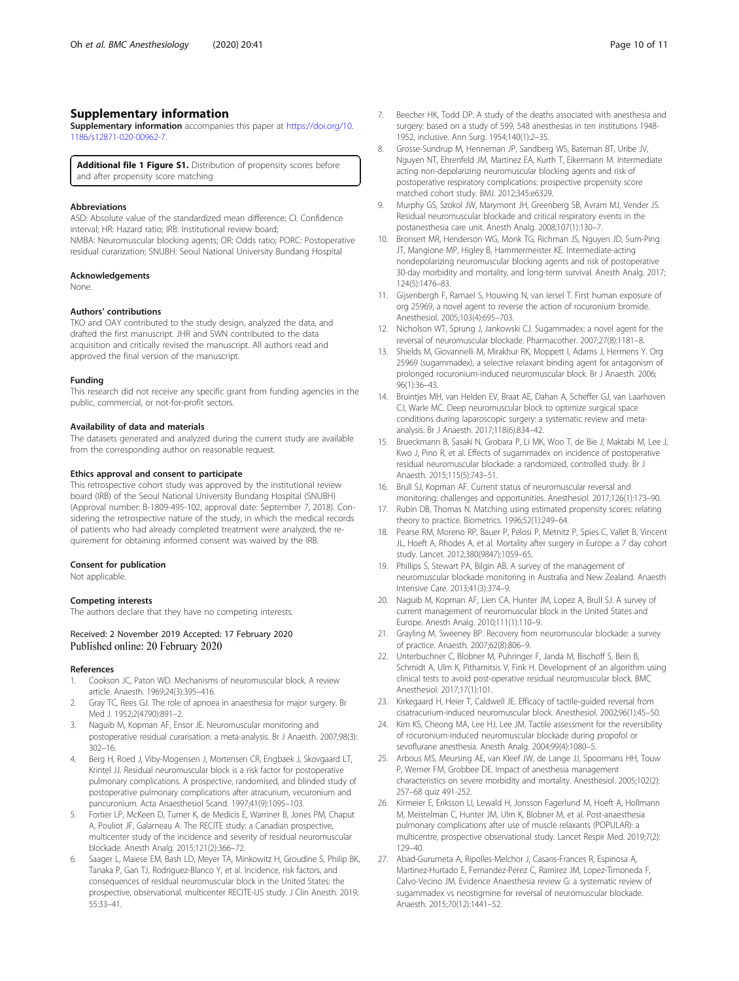## <span id="page-9-0"></span>Supplementary information

Supplementary information accompanies this paper at [https://doi.org/10.](https://doi.org/10.1186/s12871-020-00962-7) [1186/s12871-020-00962-7](https://doi.org/10.1186/s12871-020-00962-7).

Additional file 1 Figure S1. Distribution of propensity scores before and after propensity score matching

#### Abbreviations

ASD: Absolute value of the standardized mean difference; CI: Confidence interval; HR: Hazard ratio; IRB: Institutional review board; NMBA: Neuromuscular blocking agents; OR: Odds ratio; PORC: Postoperative residual curarization; SNUBH: Seoul National University Bundang Hospital

#### Acknowledgements

None.

#### Authors' contributions

TKO and OAY contributed to the study design, analyzed the data, and drafted the first manuscript. JHR and SWN contributed to the data acquisition and critically revised the manuscript. All authors read and approved the final version of the manuscript.

#### Funding

This research did not receive any specific grant from funding agencies in the public, commercial, or not-for-profit sectors.

#### Availability of data and materials

The datasets generated and analyzed during the current study are available from the corresponding author on reasonable request.

#### Ethics approval and consent to participate

This retrospective cohort study was approved by the institutional review board (IRB) of the Seoul National University Bundang Hospital (SNUBH) (Approval number: B-1809-495-102, approval date: September 7, 2018). Considering the retrospective nature of the study, in which the medical records of patients who had already completed treatment were analyzed, the requirement for obtaining informed consent was waived by the IRB.

#### Consent for publication

Not applicable.

#### Competing interests

The authors declare that they have no competing interests.

## Received: 2 November 2019 Accepted: 17 February 2020 Published online: 20 February 2020

#### References

- 1. Cookson JC, Paton WD. Mechanisms of neuromuscular block. A review article. Anaesth. 1969;24(3):395–416.
- 2. Gray TC, Rees GJ. The role of apnoea in anaesthesia for major surgery. Br Med J. 1952;2(4790):891–2.
- 3. Naguib M, Kopman AF, Ensor JE. Neuromuscular monitoring and postoperative residual curarisation: a meta-analysis. Br J Anaesth. 2007;98(3): 302–16.
- 4. Berg H, Roed J, Viby-Mogensen J, Mortensen CR, Engbaek J, Skovgaard LT, Krintel JJ. Residual neuromuscular block is a risk factor for postoperative pulmonary complications. A prospective, randomised, and blinded study of postoperative pulmonary complications after atracurium, vecuronium and pancuronium. Acta Anaesthesiol Scand. 1997;41(9):1095–103.
- 5. Fortier LP, McKeen D, Turner K, de Medicis E, Warriner B, Jones PM, Chaput A, Pouliot JF, Galarneau A. The RECITE study: a Canadian prospective, multicenter study of the incidence and severity of residual neuromuscular blockade. Anesth Analg. 2015;121(2):366–72.
- Saager L, Maiese EM, Bash LD, Meyer TA, Minkowitz H, Groudine S, Philip BK, Tanaka P, Gan TJ, Rodriguez-Blanco Y, et al. Incidence, risk factors, and consequences of residual neuromuscular block in the United States: the prospective, observational, multicenter RECITE-US study. J Clin Anesth. 2019; 55:33–41.
- 7. Beecher HK, Todd DP. A study of the deaths associated with anesthesia and surgery: based on a study of 599, 548 anesthesias in ten institutions 1948- 1952, inclusive. Ann Surg. 1954;140(1):2–35.
- 8. Grosse-Sundrup M, Henneman JP, Sandberg WS, Bateman BT, Uribe JV, Nguyen NT, Ehrenfeld JM, Martinez EA, Kurth T, Eikermann M. Intermediate acting non-depolarizing neuromuscular blocking agents and risk of postoperative respiratory complications: prospective propensity score matched cohort study. BMJ. 2012;345:e6329.
- 9. Murphy GS, Szokol JW, Marymont JH, Greenberg SB, Avram MJ, Vender JS. Residual neuromuscular blockade and critical respiratory events in the postanesthesia care unit. Anesth Analg. 2008;107(1):130–7.
- 10. Bronsert MR, Henderson WG, Monk TG, Richman JS, Nguyen JD, Sum-Ping JT, Mangione MP, Higley B, Hammermeister KE. Intermediate-acting nondepolarizing neuromuscular blocking agents and risk of postoperative 30-day morbidity and mortality, and long-term survival. Anesth Analg. 2017; 124(5):1476–83.
- 11. Gijsenbergh F, Ramael S, Houwing N, van Iersel T. First human exposure of org 25969, a novel agent to reverse the action of rocuronium bromide. Anesthesiol. 2005;103(4):695–703.
- 12. Nicholson WT, Sprung J, Jankowski CJ. Sugammadex: a novel agent for the reversal of neuromuscular blockade. Pharmacother. 2007;27(8):1181–8.
- 13. Shields M, Giovannelli M, Mirakhur RK, Moppett I, Adams J, Hermens Y. Org 25969 (sugammadex), a selective relaxant binding agent for antagonism of prolonged rocuronium-induced neuromuscular block. Br J Anaesth. 2006; 96(1):36–43.
- 14. Bruintjes MH, van Helden EV, Braat AE, Dahan A, Scheffer GJ, van Laarhoven CJ, Warle MC. Deep neuromuscular block to optimize surgical space conditions during laparoscopic surgery: a systematic review and metaanalysis. Br J Anaesth. 2017;118(6):834–42.
- 15. Brueckmann B, Sasaki N, Grobara P, Li MK, Woo T, de Bie J, Maktabi M, Lee J, Kwo J, Pino R, et al. Effects of sugammadex on incidence of postoperative residual neuromuscular blockade: a randomized, controlled study. Br J Anaesth. 2015;115(5):743–51.
- 16. Brull SJ, Kopman AF. Current status of neuromuscular reversal and monitoring: challenges and opportunities. Anesthesiol. 2017;126(1):173–90.
- 17. Rubin DB, Thomas N. Matching using estimated propensity scores: relating theory to practice. Biometrics. 1996;52(1):249–64.
- 18. Pearse RM, Moreno RP, Bauer P, Pelosi P, Metnitz P, Spies C, Vallet B, Vincent JL, Hoeft A, Rhodes A, et al. Mortality after surgery in Europe: a 7 day cohort study. Lancet. 2012;380(9847):1059–65.
- 19. Phillips S, Stewart PA, Bilgin AB. A survey of the management of neuromuscular blockade monitoring in Australia and New Zealand. Anaesth Intensive Care. 2013;41(3):374–9.
- 20. Naguib M, Kopman AF, Lien CA, Hunter JM, Lopez A, Brull SJ. A survey of current management of neuromuscular block in the United States and Europe. Anesth Analg. 2010;111(1):110–9.
- 21. Grayling M, Sweeney BP. Recovery from neuromuscular blockade: a survey of practice. Anaesth. 2007;62(8):806–9.
- 22. Unterbuchner C, Blobner M, Puhringer F, Janda M, Bischoff S, Bein B, Schmidt A, Ulm K, Pithamitsis V, Fink H. Development of an algorithm using clinical tests to avoid post-operative residual neuromuscular block. BMC Anesthesiol. 2017;17(1):101.
- 23. Kirkegaard H, Heier T, Caldwell JE. Efficacy of tactile-guided reversal from cisatracurium-induced neuromuscular block. Anesthesiol. 2002;96(1):45–50.
- 24. Kim KS, Cheong MA, Lee HJ, Lee JM. Tactile assessment for the reversibility of rocuronium-induced neuromuscular blockade during propofol or sevoflurane anesthesia. Anesth Analg. 2004;99(4):1080–5.
- 25. Arbous MS, Meursing AE, van Kleef JW, de Lange JJ, Spoormans HH, Touw P, Werner FM, Grobbee DE. Impact of anesthesia management characteristics on severe morbidity and mortality. Anesthesiol. 2005;102(2): 257–68 quiz 491-252.
- 26. Kirmeier E, Eriksson LI, Lewald H, Jonsson Fagerlund M, Hoeft A, Hollmann M, Meistelman C, Hunter JM, Ulm K, Blobner M, et al. Post-anaesthesia pulmonary complications after use of muscle relaxants (POPULAR): a multicentre, prospective observational study. Lancet Respir Med. 2019;7(2): 129–40.
- 27. Abad-Gurumeta A, Ripolles-Melchor J, Casans-Frances R, Espinosa A, Martinez-Hurtado E, Fernandez-Perez C, Ramirez JM, Lopez-Timoneda F, Calvo-Vecino JM. Evidence Anaesthesia review G: a systematic review of sugammadex vs neostigmine for reversal of neuromuscular blockade. Anaesth. 2015;70(12):1441–52.